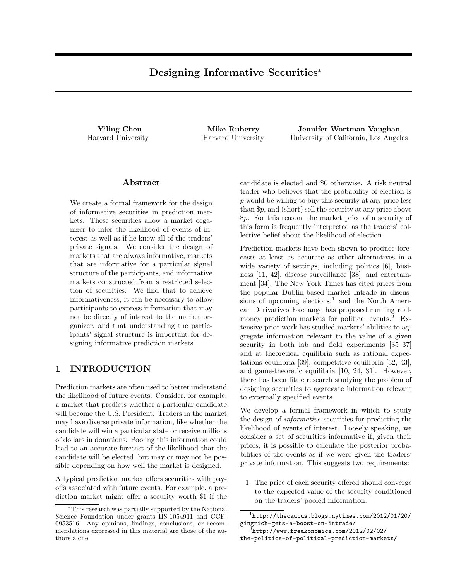# Designing Informative Securities<sup>∗</sup>

Yiling Chen Harvard University

Mike Ruberry Harvard University

Jennifer Wortman Vaughan University of California, Los Angeles

### Abstract

We create a formal framework for the design of informative securities in prediction markets. These securities allow a market organizer to infer the likelihood of events of interest as well as if he knew all of the traders' private signals. We consider the design of markets that are always informative, markets that are informative for a particular signal structure of the participants, and informative markets constructed from a restricted selection of securities. We find that to achieve informativeness, it can be necessary to allow participants to express information that may not be directly of interest to the market organizer, and that understanding the participants' signal structure is important for designing informative prediction markets.

### 1 INTRODUCTION

Prediction markets are often used to better understand the likelihood of future events. Consider, for example, a market that predicts whether a particular candidate will become the U.S. President. Traders in the market may have diverse private information, like whether the candidate will win a particular state or receive millions of dollars in donations. Pooling this information could lead to an accurate forecast of the likelihood that the candidate will be elected, but may or may not be possible depending on how well the market is designed.

A typical prediction market offers securities with payoffs associated with future events. For example, a prediction market might offer a security worth \$1 if the

candidate is elected and \$0 otherwise. A risk neutral trader who believes that the probability of election is p would be willing to buy this security at any price less than \$p, and (short) sell the security at any price above \$p. For this reason, the market price of a security of this form is frequently interpreted as the traders' collective belief about the likelihood of election.

Prediction markets have been shown to produce forecasts at least as accurate as other alternatives in a wide variety of settings, including politics [6], business [11, 42], disease surveillance [38], and entertainment [34]. The New York Times has cited prices from the popular Dublin-based market Intrade in discussions of upcoming elections,<sup>1</sup> and the North American Derivatives Exchange has proposed running realmoney prediction markets for political events.<sup>2</sup> Extensive prior work has studied markets' abilities to aggregate information relevant to the value of a given security in both lab and field experiments [35–37] and at theoretical equilibria such as rational expectations equilibria [39], competitive equilibria [32, 43], and game-theoretic equilibria [10, 24, 31]. However, there has been little research studying the problem of designing securities to aggregate information relevant to externally specified events.

We develop a formal framework in which to study the design of informative securities for predicting the likelihood of events of interest. Loosely speaking, we consider a set of securities informative if, given their prices, it is possible to calculate the posterior probabilities of the events as if we were given the traders' private information. This suggests two requirements:

1. The price of each security offered should converge to the expected value of the security conditioned on the traders' pooled information.

<sup>∗</sup>This research was partially supported by the National Science Foundation under grants IIS-1054911 and CCF-0953516. Any opinions, findings, conclusions, or recommendations expressed in this material are those of the authors alone.

<sup>1</sup> http://thecaucus.blogs.nytimes.com/2012/01/20/ gingrich-gets-a-boost-on-intrade/

 $^{2}$ http://www.freakonomics.com/2012/02/02/ the-politics-of-political-prediction-markets/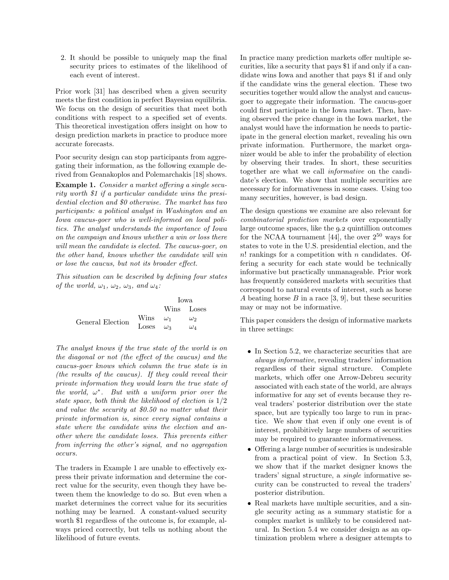2. It should be possible to uniquely map the final security prices to estimates of the likelihood of each event of interest.

Prior work [31] has described when a given security meets the first condition in perfect Bayesian equilibria. We focus on the design of securities that meet both conditions with respect to a specified set of events. This theoretical investigation offers insight on how to design prediction markets in practice to produce more accurate forecasts.

Poor security design can stop participants from aggregating their information, as the following example derived from Geanakoplos and Polemarchakis [18] shows.

Example 1. Consider a market offering a single security worth \$1 if a particular candidate wins the presidential election and \$0 otherwise. The market has two participants: a political analyst in Washington and an Iowa caucus-goer who is well-informed on local politics. The analyst understands the importance of Iowa on the campaign and knows whether a win or loss there will mean the candidate is elected. The caucus-goer, on the other hand, knows whether the candidate will win or lose the caucus, but not its broader effect.

This situation can be described by defining four states of the world,  $\omega_1$ ,  $\omega_2$ ,  $\omega_3$ , and  $\omega_4$ :

|                  |                  | Iowa |              |
|------------------|------------------|------|--------------|
|                  |                  |      | Wins Loses   |
| General Election | Wins $\omega_1$  |      | $\omega_2$   |
|                  | Loses $\omega_3$ |      | $\omega_{4}$ |

The analyst knows if the true state of the world is on the diagonal or not (the effect of the caucus) and the caucus-goer knows which column the true state is in (the results of the caucus). If they could reveal their private information they would learn the true state of the world,  $\omega^*$ . But with a uniform prior over the state space, both think the likelihood of election is 1/2 and value the security at \$0.50 no matter what their private information is, since every signal contains a state where the candidate wins the election and another where the candidate loses. This prevents either from inferring the other's signal, and no aggregation occurs.

The traders in Example 1 are unable to effectively express their private information and determine the correct value for the security, even though they have between them the knowledge to do so. But even when a market determines the correct value for its securities nothing may be learned. A constant-valued security worth \$1 regardless of the outcome is, for example, always priced correctly, but tells us nothing about the likelihood of future events.

In practice many prediction markets offer multiple securities, like a security that pays \$1 if and only if a candidate wins Iowa and another that pays \$1 if and only if the candidate wins the general election. These two securities together would allow the analyst and caucusgoer to aggregate their information. The caucus-goer could first participate in the Iowa market. Then, having observed the price change in the Iowa market, the analyst would have the information he needs to participate in the general election market, revealing his own private information. Furthermore, the market organizer would be able to infer the probability of election by observing their trades. In short, these securities together are what we call informative on the candidate's election. We show that multiple securities are necessary for informativeness in some cases. Using too many securities, however, is bad design.

The design questions we examine are also relevant for combinatorial prediction markets over exponentially large outcome spaces, like the 9.2 quintillion outcomes for the NCAA tournament [44], the over  $2^{50}$  ways for states to vote in the U.S. presidential election, and the n! rankings for a competition with n candidates. Offering a security for each state would be technically informative but practically unmanageable. Prior work has frequently considered markets with securities that correspond to natural events of interest, such as horse A beating horse  $B$  in a race [3, 9], but these securities may or may not be informative.

This paper considers the design of informative markets in three settings:

- In Section 5.2, we characterize securities that are always informative, revealing traders' information regardless of their signal structure. Complete markets, which offer one Arrow-Debreu security associated with each state of the world, are always informative for any set of events because they reveal traders' posterior distribution over the state space, but are typically too large to run in practice. We show that even if only one event is of interest, prohibitively large numbers of securities may be required to guarantee informativeness.
- Offering a large number of securities is undesirable from a practical point of view. In Section 5.3, we show that if the market designer knows the traders' signal structure, a single informative security can be constructed to reveal the traders' posterior distribution.
- Real markets have multiple securities, and a single security acting as a summary statistic for a complex market is unlikely to be considered natural. In Section 5.4 we consider design as an optimization problem where a designer attempts to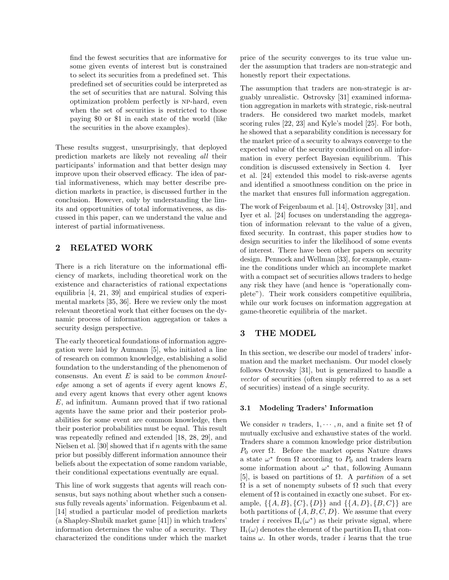find the fewest securities that are informative for some given events of interest but is constrained to select its securities from a predefined set. This predefined set of securities could be interpreted as the set of securities that are natural. Solving this optimization problem perfectly is np-hard, even when the set of securities is restricted to those paying \$0 or \$1 in each state of the world (like the securities in the above examples).

These results suggest, unsurprisingly, that deployed prediction markets are likely not revealing all their participants' information and that better design may improve upon their observed efficacy. The idea of partial informativeness, which may better describe prediction markets in practice, is discussed further in the conclusion. However, only by understanding the limits and opportunities of total informativeness, as discussed in this paper, can we understand the value and interest of partial informativeness.

# 2 RELATED WORK

There is a rich literature on the informational efficiency of markets, including theoretical work on the existence and characteristics of rational expectations equilibria [4, 21, 39] and empirical studies of experimental markets [35, 36]. Here we review only the most relevant theoretical work that either focuses on the dynamic process of information aggregation or takes a security design perspective.

The early theoretical foundations of information aggregation were laid by Aumann [5], who initiated a line of research on common knowledge, establishing a solid foundation to the understanding of the phenomenon of consensus. An event  $E$  is said to be *common knowl*edge among a set of agents if every agent knows  $E$ , and every agent knows that every other agent knows  $E$ , ad infinitum. Aumann proved that if two rational agents have the same prior and their posterior probabilities for some event are common knowledge, then their posterior probabilities must be equal. This result was repeatedly refined and extended [18, 28, 29], and Nielsen et al. [30] showed that if  $n$  agents with the same prior but possibly different information announce their beliefs about the expectation of some random variable, their conditional expectations eventually are equal.

This line of work suggests that agents will reach consensus, but says nothing about whether such a consensus fully reveals agents' information. Feigenbaum et al. [14] studied a particular model of prediction markets (a Shapley-Shubik market game [41]) in which traders' information determines the value of a security. They characterized the conditions under which the market price of the security converges to its true value under the assumption that traders are non-strategic and honestly report their expectations.

The assumption that traders are non-strategic is arguably unrealistic. Ostrovsky [31] examined information aggregation in markets with strategic, risk-neutral traders. He considered two market models, market scoring rules [22, 23] and Kyle's model [25]. For both, he showed that a separability condition is necessary for the market price of a security to always converge to the expected value of the security conditioned on all information in every perfect Bayesian equilibrium. This condition is discussed extensively in Section 4. Iyer et al. [24] extended this model to risk-averse agents and identified a smoothness condition on the price in the market that ensures full information aggregation.

The work of Feigenbaum et al. [14], Ostrovsky [31], and Iyer et al. [24] focuses on understanding the aggregation of information relevant to the value of a given, fixed security. In contrast, this paper studies how to design securities to infer the likelihood of some events of interest. There have been other papers on security design. Pennock and Wellman [33], for example, examine the conditions under which an incomplete market with a compact set of securities allows traders to hedge any risk they have (and hence is "operationally complete"). Their work considers competitive equilibria, while our work focuses on information aggregation at game-theoretic equilibria of the market.

# 3 THE MODEL

In this section, we describe our model of traders' information and the market mechanism. Our model closely follows Ostrovsky [31], but is generalized to handle a vector of securities (often simply referred to as a set of securities) instead of a single security.

### 3.1 Modeling Traders' Information

We consider n traders,  $1, \dots, n$ , and a finite set  $\Omega$  of mutually exclusive and exhaustive states of the world. Traders share a common knowledge prior distribution  $P_0$  over  $\Omega$ . Before the market opens Nature draws a state  $\omega^*$  from  $\Omega$  according to  $P_0$  and traders learn some information about  $\omega^*$  that, following Aumann [5], is based on partitions of  $\Omega$ . A partition of a set  $\Omega$  is a set of nonempty subsets of  $\Omega$  such that every element of  $\Omega$  is contained in exactly one subset. For example,  $\{\{A, B\}, \{C\}, \{D\}\}\$ and  $\{\{A, D\}, \{B, C\}\}\$ are both partitions of  $\{A, B, C, D\}$ . We assume that every trader *i* receives  $\Pi_i(\omega^*)$  as their private signal, where  $\Pi_i(\omega)$  denotes the element of the partition  $\Pi_i$  that contains  $\omega$ . In other words, trader *i* learns that the true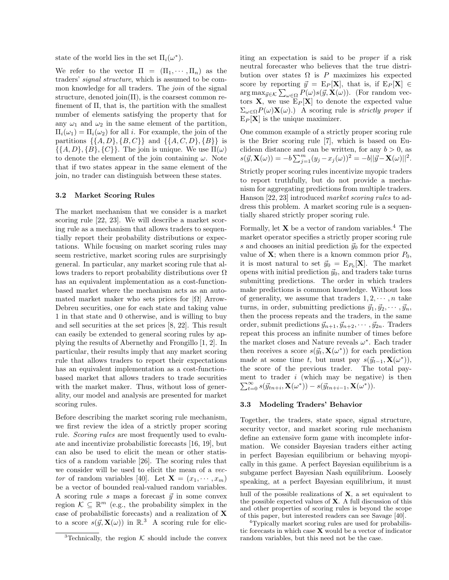state of the world lies in the set  $\Pi_i(\omega^*).$ 

We refer to the vector  $\Pi = (\Pi_1, \dots, \Pi_n)$  as the traders' signal structure, which is assumed to be common knowledge for all traders. The join of the signal structure, denoted join $(\Pi)$ , is the coarsest common refinement of Π, that is, the partition with the smallest number of elements satisfying the property that for any  $\omega_1$  and  $\omega_2$  in the same element of the partition,  $\Pi_i(\omega_1) = \Pi_i(\omega_2)$  for all *i*. For example, the join of the partitions  $\{\{A, D\}, \{B, C\}\}\$ and  $\{\{A, C, D\}, \{B\}\}\$ is  $\{\{A, D\}, \{B\}, \{C\}\}\$ . The join is unique. We use  $\Pi(\omega)$ to denote the element of the join containing  $\omega$ . Note that if two states appear in the same element of the join, no trader can distinguish between these states.

#### 3.2 Market Scoring Rules

The market mechanism that we consider is a market scoring rule [22, 23]. We will describe a market scoring rule as a mechanism that allows traders to sequentially report their probability distributions or expectations. While focusing on market scoring rules may seem restrictive, market scoring rules are surprisingly general. In particular, any market scoring rule that allows traders to report probability distributions over  $\Omega$ has an equivalent implementation as a cost-functionbased market where the mechanism acts as an automated market maker who sets prices for  $|\Omega|$  Arrow-Debreu securities, one for each state and taking value 1 in that state and 0 otherwise, and is willing to buy and sell securities at the set prices [8, 22]. This result can easily be extended to general scoring rules by applying the results of Abernethy and Frongillo [1, 2]. In particular, their results imply that any market scoring rule that allows traders to report their expectations has an equivalent implementation as a cost-functionbased market that allows traders to trade securities with the market maker. Thus, without loss of generality, our model and analysis are presented for market scoring rules.

Before describing the market scoring rule mechanism, we first review the idea of a strictly proper scoring rule. Scoring rules are most frequently used to evaluate and incentivize probabilistic forecasts [16, 19], but can also be used to elicit the mean or other statistics of a random variable [26]. The scoring rules that we consider will be used to elicit the mean of a vector of random variables [40]. Let  $\mathbf{X} = (x_1, \dots, x_m)$ be a vector of bounded real-valued random variables. A scoring rule s maps a forecast  $\vec{y}$  in some convex region  $\mathcal{K} \subseteq \mathbb{R}^m$  (e.g., the probability simplex in the case of probabilistic forecasts) and a realization of X to a score  $s(\vec{y}, \mathbf{X}(\omega))$  in  $\mathbb{R}^3$  A scoring rule for eliciting an expectation is said to be proper if a risk neutral forecaster who believes that the true distribution over states  $\Omega$  is P maximizes his expected score by reporting  $\vec{y} = E_P[\mathbf{X}]$ , that is, if  $E_P[\mathbf{X}] \in$  $\arg \max_{\vec{y} \in \mathcal{K}} \sum_{\omega \in \Omega} P(\omega) s(\vec{y}, \mathbf{X}(\omega)).$  (For random vectors **X**, we use  $E_P[X]$  to denote the expected value  $\Sigma_{\omega \in \Omega} P(\omega) \mathbf{X}(\omega)$ .) A scoring rule is *strictly proper* if  $E_P[\mathbf{X}]$  is the unique maximizer.

One common example of a strictly proper scoring rule is the Brier scoring rule [7], which is based on Euclidean distance and can be written, for any  $b > 0$ , as  $s(\vec{y}, \mathbf{X}(\omega)) = -b \sum_{j=1}^{m} (y_j - x_j(\omega))^2 = -b ||\vec{y} - \mathbf{X}(\omega)||^2.$ 

Strictly proper scoring rules incentivize myopic traders to report truthfully, but do not provide a mechanism for aggregating predictions from multiple traders. Hanson [22, 23] introduced market scoring rules to address this problem. A market scoring rule is a sequentially shared strictly proper scoring rule.

Formally, let  $X$  be a vector of random variables.<sup>4</sup> The market operator specifies a strictly proper scoring rule s and chooses an initial prediction  $\vec{y}_0$  for the expected value of  $X$ ; when there is a known common prior  $P_0$ , it is most natural to set  $\vec{y}_0 = E_{P_0}[\mathbf{X}]$ . The market opens with initial prediction  $\vec{y}_0$ , and traders take turns submitting predictions. The order in which traders make predictions is common knowledge. Without loss of generality, we assume that traders  $1, 2, \dots, n$  take turns, in order, submitting predictions  $\vec{y}_1, \vec{y}_2, \cdots, \vec{y}_n$ , then the process repeats and the traders, in the same order, submit predictions  $\vec{y}_{n+1}, \vec{y}_{n+2}, \cdots, \vec{y}_{2n}$ . Traders repeat this process an infinite number of times before the market closes and Nature reveals  $\omega^*$ . Each trader then receives a score  $s(\vec{y}_t, \mathbf{X}(\omega^*))$  for each prediction made at some time t, but must pay  $s(\vec{y}_{t-1}, \mathbf{X}(\omega^*)),$ the score of the previous trader. The total payment to trader i (which may be negative) is then  $\sum_{t=0}^{\infty} s(\vec{y}_{tn+i}, \mathbf{X}(\omega^*)) - s(\vec{y}_{tn+i-1}, \mathbf{X}(\omega^*))$ .

### 3.3 Modeling Traders' Behavior

Together, the traders, state space, signal structure, security vector, and market scoring rule mechanism define an extensive form game with incomplete information. We consider Bayesian traders either acting in perfect Bayesian equilibrium or behaving myopically in this game. A perfect Bayesian equilibrium is a subgame perfect Bayesian Nash equilibrium. Loosely speaking, at a perfect Bayesian equilibrium, it must

<sup>&</sup>lt;sup>3</sup>Technically, the region  $K$  should include the convex

hull of the possible realizations of  $X$ , a set equivalent to the possible expected values of  $X$ . A full discussion of this and other properties of scoring rules is beyond the scope of this paper, but interested readers can see Savage [40].

<sup>&</sup>lt;sup>4</sup>Typically market scoring rules are used for probabilistic forecasts in which case  $X$  would be a vector of indicator random variables, but this need not be the case.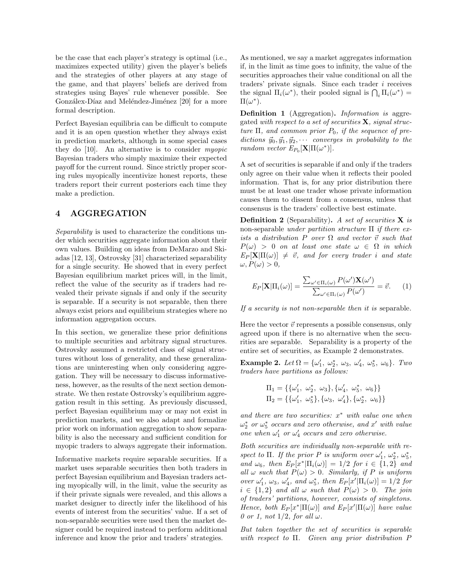be the case that each player's strategy is optimal (i.e., maximizes expected utility) given the player's beliefs and the strategies of other players at any stage of the game, and that players' beliefs are derived from strategies using Bayes' rule whenever possible. See Gonzálex-Díaz and Meléndez-Jiménez [20] for a more formal description.

Perfect Bayesian equilibria can be difficult to compute and it is an open question whether they always exist in prediction markets, although in some special cases they do [10]. An alternative is to consider myopic Bayesian traders who simply maximize their expected payoff for the current round. Since strictly proper scoring rules myopically incentivize honest reports, these traders report their current posteriors each time they make a prediction.

# 4 AGGREGATION

Separability is used to characterize the conditions under which securities aggregate information about their own values. Building on ideas from DeMarzo and Skiadas [12, 13], Ostrovsky [31] characterized separability for a single security. He showed that in every perfect Bayesian equilibrium market prices will, in the limit, reflect the value of the security as if traders had revealed their private signals if and only if the security is separable. If a security is not separable, then there always exist priors and equilibrium strategies where no information aggregation occurs.

In this section, we generalize these prior definitions to multiple securities and arbitrary signal structures. Ostrovsky assumed a restricted class of signal structures without loss of generality, and these generalizations are uninteresting when only considering aggregation. They will be necessary to discuss informativeness, however, as the results of the next section demonstrate. We then restate Ostrovsky's equilibrium aggregation result in this setting. As previously discussed, perfect Bayesian equilibrium may or may not exist in prediction markets, and we also adapt and formalize prior work on information aggregation to show separability is also the necessary and sufficient condition for myopic traders to always aggregate their information.

Informative markets require separable securities. If a market uses separable securities then both traders in perfect Bayesian equilibrium and Bayesian traders acting myopically will, in the limit, value the security as if their private signals were revealed, and this allows a market designer to directly infer the likelihood of his events of interest from the securities' value. If a set of non-separable securities were used then the market designer could be required instead to perform additional inference and know the prior and traders' strategies.

As mentioned, we say a market aggregates information if, in the limit as time goes to infinity, the value of the securities approaches their value conditional on all the traders' private signals. Since each trader i receives the signal  $\Pi_i(\omega^*)$ , their pooled signal is  $\bigcap_i \Pi_i(\omega^*) =$  $\Pi(\omega^*).$ 

Definition 1 (Aggregation). Information is aggregated with respect to a set of securities  $X$ , signal structure  $\Pi$ , and common prior  $P_0$ , if the sequence of predictions  $\vec{y}_0, \vec{y}_1, \vec{y}_2, \cdots$  converges in probability to the random vector  $E_{P_0}[\mathbf{X}|\Pi(\omega^*)]$ .

A set of securities is separable if and only if the traders only agree on their value when it reflects their pooled information. That is, for any prior distribution there must be at least one trader whose private information causes them to dissent from a consensus, unless that consensus is the traders' collective best estimate.

**Definition 2** (Separability). A set of securities  $X$  is non-separable under partition structure  $\Pi$  if there exists a distribution P over  $\Omega$  and vector  $\vec{v}$  such that  $P(\omega) > 0$  on at least one state  $\omega \in \Omega$  in which  $E_P[\mathbf{X}|\Pi(\omega)] \neq \vec{v}$ , and for every trader i and state  $\omega, P(\omega) > 0$ 

$$
E_P[\mathbf{X}|\Pi_i(\omega)] = \frac{\sum_{\omega' \in \Pi_i(\omega)} P(\omega')\mathbf{X}(\omega')}{\sum_{\omega' \in \Pi_i(\omega)} P(\omega')} = \vec{v}.
$$
 (1)

If a security is not non-separable then it is separable.

Here the vector  $\vec{v}$  represents a possible consensus, only agreed upon if there is no alternative when the securities are separable. Separability is a property of the entire set of securities, as Example 2 demonstrates.

Example 2. Let  $\Omega = {\omega'_1, \omega^*_2, \omega_3, \omega'_4, \omega^*_5, \omega_6}$ . Two traders have partitions as follows:

$$
\begin{aligned} \Pi_1 &= \{ \{\omega'_1, \ \omega^*_2, \ \omega_3\}, \{\omega'_4, \ \omega^*_5, \ \omega_6\} \} \\ \Pi_2 &= \{ \{\omega'_1, \ \omega^*_5\}, \{\omega_3, \ \omega'_4\}, \{\omega^*_2, \ \omega_6\} \} \end{aligned}
$$

and there are two securities:  $x^*$  with value one when  $\omega_2^*$  or  $\omega_5^*$  occurs and zero otherwise, and  $x'$  with value one when  $\omega'_1$  or  $\omega'_4$  occurs and zero otherwise.

Both securities are individually non-separable with respect to  $\Pi$ . If the prior P is uniform over  $\omega'_1, \omega^*_2, \omega^*_5$ , and  $\omega_6$ , then  $E_P[x^*|\Pi_i(\omega)] = 1/2$  for  $i \in \{1,2\}$  and all  $\omega$  such that  $P(\omega) > 0$ . Similarly, if P is uniform over  $\omega'_1$ ,  $\omega_3$ ,  $\omega'_4$ , and  $\omega_5^*$ , then  $E_P[x'|\Pi_i(\omega)] = 1/2$  for  $i \in \{1,2\}$  and all  $\omega$  such that  $P(\omega) > 0$ . The join of traders' partitions, however, consists of singletons. Hence, both  $E_P[x^*|\Pi(\omega)]$  and  $E_P[x'|\Pi(\omega)]$  have value 0 or 1, not  $1/2$ , for all  $\omega$ .

But taken together the set of securities is separable with respect to Π. Given any prior distribution P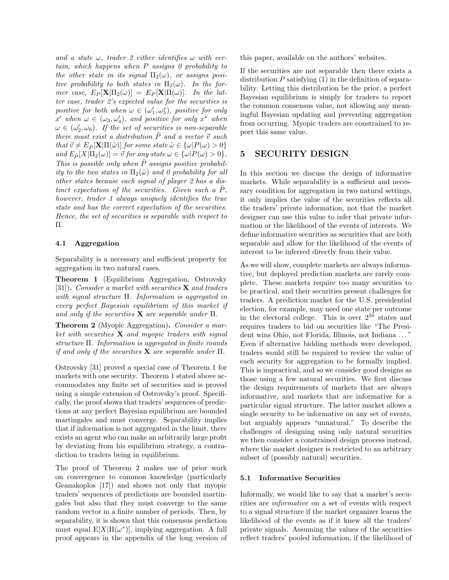and a state  $\omega$ , trader 2 either identifies  $\omega$  with certain, which happens when P assigns 0 probability to the other state in its signal  $\Pi_2(\omega)$ , or assigns positive probability to both states in  $\Pi_2(\omega)$ . In the former case,  $E_P[\mathbf{X} | \Pi_2(\omega)] = E_P[\mathbf{X} | \Pi(\omega)]$ . In the latter case, trader 2's expected value for the securities is positive for both when  $\omega \in (\omega'_1, \omega^*_5)$ , positive for only  $x'$  when  $\omega \in (\omega_3, \omega'_4)$ , and positive for only  $x^*$  when  $\omega \in (\omega'_2, \omega_6)$ . If the set of securities is non-separable there must exist a distribution  $\tilde{P}$  and a vector  $\vec{v}$  such that  $\vec{v} \neq E_{\tilde{P}}[\mathbf{X}|\Pi(\tilde{\omega})]$  for some state  $\tilde{\omega} \in {\{\omega | P(\omega) > 0\}}$ and  $E_{\tilde{P}}[X|\Pi_2(\omega)] = \vec{v}$  for any state  $\omega \in {\{\omega|P(\omega) > 0\}}$ . This is possible only when  $\tilde{P}$  assigns positive probability to the two states in  $\Pi_2(\tilde{\omega})$  and 0 probability for all other states because each signal of player 2 has a distinct expectation of the securities. Given such a  $P$ , however, trader 1 always uniquely identifies the true state and has the correct expectation of the securities. Hence, the set of securities is separable with respect to Π.

#### 4.1 Aggregation

Separability is a necessary and sufficient property for aggregation in two natural cases.

Theorem 1 (Equilibrium Aggregation, Ostrovsky [31]). Consider a market with securities  $X$  and traders with signal structure Π. Information is aggregated in every perfect Bayesian equilibrium of this market if and only if the securities  $X$  are separable under  $\Pi$ .

Theorem 2 (Myopic Aggregation). Consider a market with securities  $X$  and myopic traders with signal structure Π. Information is aggregated in finite rounds if and only if the securities  $X$  are separable under  $\Pi$ .

Ostrovsky [31] proved a special case of Theorem 1 for markets with one security. Theorem 1 stated above accommodates any finite set of securities and is proved using a simple extension of Ostrovsky's proof. Specifically, the proof shows that traders' sequences of predictions at any perfect Bayesian equilibrium are bounded martingales and must converge. Separability implies that if information is not aggregated in the limit, there exists an agent who can make an arbitrarily large profit by deviating from his equilibrium strategy, a contradiction to traders being in equilibrium.

The proof of Theorem 2 makes use of prior work on convergence to common knowledge (particularly Geanakoplos [17]) and shows not only that myopic traders' sequences of predictions are bounded martingales but also that they must converge to the same random vector in a finite number of periods. Then, by separability, it is shown that this consensus prediction must equal  $E[X|\Pi(\omega^*)]$ , implying aggregation. A full proof appears in the appendix of the long version of this paper, available on the authors' websites.

If the securities are not separable then there exists a distribution  $P$  satisfying  $(1)$  in the definition of separability. Letting this distribution be the prior, a perfect Bayesian equilibrium is simply for traders to report the common consensus value, not allowing any meaningful Bayesian updating and preventing aggregation from occurring. Myopic traders are constrained to report this same value.

### 5 SECURITY DESIGN

In this section we discuss the design of informative markets. While separability is a sufficient and necessary condition for aggregation in two natural settings, it only implies the value of the securities reflects all the traders' private information, not that the market designer can use this value to infer that private information or the likelihood of the events of interests. We define informative securities as securities that are both separable and allow for the likelihood of the events of interest to be inferred directly from their value.

As we will show, complete markets are always informative, but deployed prediction markets are rarely complete. These markets require too many securities to be practical, and their securities present challenges for traders. A prediction market for the U.S. presidential election, for example, may need one state per outcome in the electoral college. This is over  $2^{50}$  states and requires traders to bid on securities like "The President wins Ohio, not Florida, Illinois, not Indiana . . . " Even if alternative bidding methods were developed, traders would still be required to review the value of each security for aggregation to be formally implied. This is impractical, and so we consider good designs as those using a few natural securities. We first discuss the design requirements of markets that are always informative, and markets that are informative for a particular signal structure. The latter market allows a single security to be informative on any set of events, but arguably appears "unnatural." To describe the challenges of designing using only natural securities we then consider a constrained design process instead, where the market designer is restricted to an arbitrary subset of (possibly natural) securities.

#### 5.1 Informative Securities

Informally, we would like to say that a market's securities are informative on a set of events with respect to a signal structure if the market organizer learns the likelihood of the events as if it knew all the traders' private signals. Assuming the values of the securities reflect traders' pooled information, if the likelihood of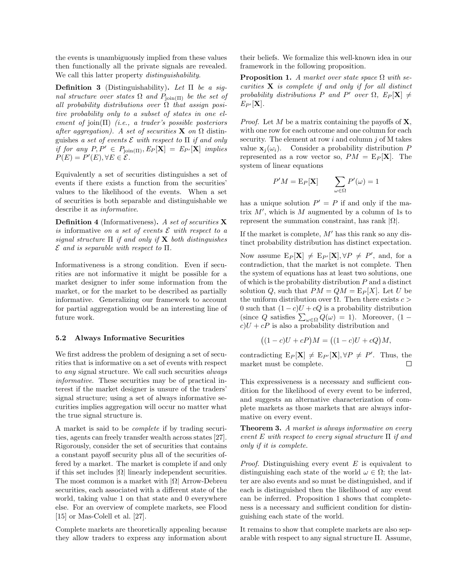the events is unambiguously implied from these values then functionally all the private signals are revealed. We call this latter property *distinguishability*.

**Definition 3** (Distinguishability). Let  $\Pi$  be a signal structure over states  $\Omega$  and  $P_{\text{join}(\Pi)}$  be the set of all probability distributions over  $\Omega$  that assign positive probability only to a subset of states in one element of join $(\Pi)$  (i.e., a trader's possible posteriors after aggregation). A set of securities **X** on  $\Omega$  distinguishes a set of events  $\mathcal E$  with respect to  $\Pi$  if and only if for any  $P, P' \in P_{\text{join}(\Pi)}, E_P[\mathbf{X}] = E_{P'}[\mathbf{X}]$  implies  $P(E) = P'(E), \forall E \in \mathcal{E}.$ 

Equivalently a set of securities distinguishes a set of events if there exists a function from the securities' values to the likelihood of the events. When a set of securities is both separable and distinguishable we describe it as informative.

Definition 4 (Informativeness). A set of securities X is informative on a set of events  $\mathcal E$  with respect to a signal structure  $\Pi$  if and only if  $X$  both distinguishes  $\mathcal E$  and is separable with respect to  $\Pi$ .

Informativeness is a strong condition. Even if securities are not informative it might be possible for a market designer to infer some information from the market, or for the market to be described as partially informative. Generalizing our framework to account for partial aggregation would be an interesting line of future work.

#### 5.2 Always Informative Securities

We first address the problem of designing a set of securities that is informative on a set of events with respect to any signal structure. We call such securities always informative. These securities may be of practical interest if the market designer is unsure of the traders' signal structure; using a set of always informative securities implies aggregation will occur no matter what the true signal structure is.

A market is said to be complete if by trading securities, agents can freely transfer wealth across states [27]. Rigorously, consider the set of securities that contains a constant payoff security plus all of the securities offered by a market. The market is complete if and only if this set includes  $|\Omega|$  linearly independent securities. The most common is a market with  $|\Omega|$  Arrow-Debreu securities, each associated with a different state of the world, taking value 1 on that state and 0 everywhere else. For an overview of complete markets, see Flood [15] or Mas-Colell et al. [27].

Complete markets are theoretically appealing because they allow traders to express any information about

their beliefs. We formalize this well-known idea in our framework in the following proposition.

**Proposition 1.** A market over state space  $\Omega$  with securities  $X$  is complete if and only if for all distinct probability distributions P and P' over  $\Omega$ ,  $E_P[\mathbf{X}] \neq$  $E_{P'}[\mathbf{X}]$ .

*Proof.* Let M be a matrix containing the payoffs of  $X$ , with one row for each outcome and one column for each security. The element at row  $i$  and column  $j$  of M takes value  $\mathbf{x}_i(\omega_i)$ . Consider a probability distribution P represented as a row vector so,  $PM = E_P[X]$ . The system of linear equations

$$
P'M = \mathcal{E}_P[\mathbf{X}] \qquad \sum_{\omega \in \Omega} P'(\omega) = 1
$$

has a unique solution  $P' = P$  if and only if the matrix  $M'$ , which is M augmented by a column of 1s to represent the summation constraint, has rank  $|Ω|$ .

If the market is complete,  $M'$  has this rank so any distinct probability distribution has distinct expectation.

Now assume  $E_P[\mathbf{X}] \neq E_{P'}[\mathbf{X}], \forall P \neq P'$ , and, for a contradiction, that the market is not complete. Then the system of equations has at least two solutions, one of which is the probability distribution  $P$  and a distinct solution Q, such that  $PM = QM = E_P[X]$ . Let U be the uniform distribution over  $\Omega$ . Then there exists  $c >$ 0 such that  $(1 - c)U + cQ$  is a probability distribution (since Q satisfies  $\sum_{\omega \in \Omega} Q(\omega) = 1$ ). Moreover, (1 –  $c)U + cP$  is also a probability distribution and

$$
((1-c)U + cP)M = ((1-c)U + cQ)M,
$$

contradicting  $E_P[\mathbf{X}] \neq E_{P'}[\mathbf{X}], \forall P \neq P'$ . Thus, the market must be complete. П

This expressiveness is a necessary and sufficient condition for the likelihood of every event to be inferred, and suggests an alternative characterization of complete markets as those markets that are always informative on every event.

**Theorem 3.** A market is always informative on every event E with respect to every signal structure  $\Pi$  if and only if it is complete.

*Proof.* Distinguishing every event  $E$  is equivalent to distinguishing each state of the world  $\omega \in \Omega$ ; the latter are also events and so must be distinguished, and if each is distinguished then the likelihood of any event can be inferred. Proposition 1 shows that completeness is a necessary and sufficient condition for distinguishing each state of the world.

It remains to show that complete markets are also separable with respect to any signal structure Π. Assume,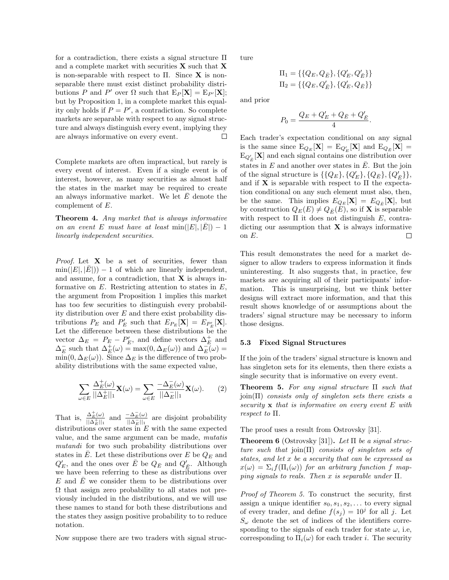for a contradiction, there exists a signal structure Π and a complete market with securities  $X$  such that  $X$ is non-separable with respect to  $\Pi$ . Since **X** is nonseparable there must exist distinct probability distributions P and P' over  $\Omega$  such that  $E_P[\mathbf{X}] = E_{P'}[\mathbf{X}];$ but by Proposition 1, in a complete market this equality only holds if  $P = P'$ , a contradiction. So complete markets are separable with respect to any signal structure and always distinguish every event, implying they are always informative on every event. □

Complete markets are often impractical, but rarely is every event of interest. Even if a single event is of interest, however, as many securities as almost half the states in the market may be required to create an always informative market. We let  $\overline{E}$  denote the complement of E.

Theorem 4. Any market that is always informative on an event E must have at least  $\min(|E|, |E|) - 1$ linearly independent securities.

*Proof.* Let  $X$  be a set of securities, fewer than  $\min(|E|, |\overline{E}|) - 1$  of which are linearly independent, and assume, for a contradiction, that  $X$  is always informative on  $E$ . Restricting attention to states in  $E$ , the argument from Proposition 1 implies this market has too few securities to distinguish every probability distribution over  $E$  and there exist probability distributions  $P_E$  and  $P'_E$  such that  $E_{P_E}[\mathbf{X}] = E_{P'_E}[\mathbf{X}]$ . Let the difference between these distributions be the vector  $\Delta_E = P_E - P'_E$ , and define vectors  $\Delta_E^+$  and  $\Delta_E^-$  such that  $\Delta_E^+(\omega) = \max(0, \Delta_E(\omega))$  and  $\Delta_E^-(\omega) =$  $\min(0, \Delta_E(\omega))$ . Since  $\Delta_E$  is the difference of two probability distributions with the same expected value,

$$
\sum_{\omega \in E} \frac{\Delta_E^+(\omega)}{||\Delta_E^+||_1} \mathbf{X}(\omega) = \sum_{\omega \in E} \frac{-\Delta_E^-(\omega)}{||\Delta_E^-||_1} \mathbf{X}(\omega). \tag{2}
$$

That is,  $\frac{\Delta_E^+(\omega)}{\mu_A + \mu}$  $\frac{\Delta_E^+(\omega)}{||\Delta_E^+||_1}$  and  $\frac{-\Delta_E^-(\omega)}{||\Delta_E^-||_1}$  $\frac{-\Delta_E(\omega)}{\|\Delta_E^-\|_1}$  are disjoint probability distributions over states in  $E$  with the same expected value, and the same argument can be made, mutatis mutandi for two such probability distributions over states in E. Let these distributions over E be  $Q_E$  and  $Q^\prime_E$ , and the ones over  $\bar{E}$  be  $Q_{\bar{E}}$  and  $Q^\prime_{\bar{E}}$ . Although we have been referring to these as distributions over  $E$  and  $E$  we consider them to be distributions over  $\Omega$  that assign zero probability to all states not previously included in the distributions, and we will use these names to stand for both these distributions and the states they assign positive probability to to reduce notation.

Now suppose there are two traders with signal struc-

ture

$$
\begin{aligned} \Pi_1 &= \{\{Q_E, Q_{\bar{E}}\}, \{Q'_E, Q'_{\bar{E}}\}\} \\ \Pi_2 &= \{\{Q_E, Q'_{\bar{E}}\}, \{Q'_E, Q_{\bar{E}}\}\} \end{aligned}
$$

and prior

$$
P_0 = \frac{Q_E + Q'_E + Q_{\bar{E}} + Q'_{\bar{E}}}{4}.
$$

Each trader's expectation conditional on any signal is the same since  $E_{Q_E}[\mathbf{X}] = E_{Q'_E}[\mathbf{X}]$  and  $E_{Q_{\bar{E}}}[\mathbf{X}] =$  $\mathrm{E}_{Q'_{\vec{E}}}[\mathbf{X}]$  and each signal contains one distribution over states in  $E$  and another over states in  $E$ . But the join of the signal structure is  $\{\{Q_E\}, \{Q'_E\}, \{Q_{\bar{E}}\}, \{Q'_{\bar{E}}\}\},\$ and if **X** is separable with respect to  $\Pi$  the expectation conditional on any such element must also, then, be the same. This implies  $E_{Q_E}[\mathbf{X}] = E_{Q_{\bar{E}}}[\mathbf{X}]$ , but by construction  $Q_E(E) \neq Q_{\overline{E}}(E)$ , so if **X** is separable with respect to  $\Pi$  it does not distinguish E, contradicting our assumption that  $X$  is always informative on E. □

This result demonstrates the need for a market designer to allow traders to express information it finds uninteresting. It also suggests that, in practice, few markets are acquiring all of their participants' information. This is unsurprising, but we think better designs will extract more information, and that this result shows knowledge of or assumptions about the traders' signal structure may be necessary to inform those designs.

#### 5.3 Fixed Signal Structures

If the join of the traders' signal structure is known and has singleton sets for its elements, then there exists a single security that is informative on every event.

**Theorem 5.** For any signal structure  $\Pi$  such that  $\chi$ <sub>i</sub>oin(Π) consists only of singleton sets there exists a security  $x$  that is informative on every event  $E$  with respect to Π.

The proof uses a result from Ostrovsky [31].

**Theorem 6** (Ostrovsky [31]). Let  $\Pi$  be a signal structure such that  $\text{join}(\Pi)$  consists of singleton sets of states, and let x be a security that can be expressed as  $x(\omega) = \sum_i f(\Pi_i(\omega))$  for an arbitrary function f mapping signals to reals. Then x is separable under  $\Pi$ .

Proof of Theorem 5. To construct the security, first assign a unique identifier  $s_0, s_1, s_2, \ldots$  to every signal of every trader, and define  $f(s_j) = 10^j$  for all j. Let  $S_{\omega}$  denote the set of indices of the identifiers corresponding to the signals of each trader for state  $\omega$ , i.e, corresponding to  $\Pi_i(\omega)$  for each trader *i*. The security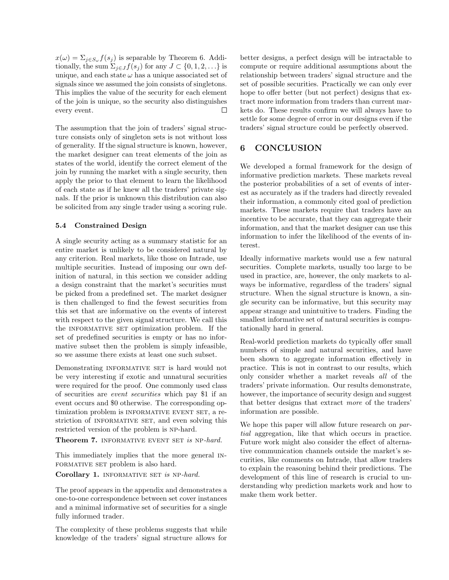$x(\omega) = \sum_{j \in S_{\omega}} f(s_j)$  is separable by Theorem 6. Additionally, the sum  $\Sigma_{j\in J} f(s_j)$  for any  $J \subset \{0, 1, 2, \ldots\}$  is unique, and each state  $\omega$  has a unique associated set of signals since we assumed the join consists of singletons. This implies the value of the security for each element of the join is unique, so the security also distinguishes every event. П

The assumption that the join of traders' signal structure consists only of singleton sets is not without loss of generality. If the signal structure is known, however, the market designer can treat elements of the join as states of the world, identify the correct element of the join by running the market with a single security, then apply the prior to that element to learn the likelihood of each state as if he knew all the traders' private signals. If the prior is unknown this distribution can also be solicited from any single trader using a scoring rule.

### 5.4 Constrained Design

A single security acting as a summary statistic for an entire market is unlikely to be considered natural by any criterion. Real markets, like those on Intrade, use multiple securities. Instead of imposing our own definition of natural, in this section we consider adding a design constraint that the market's securities must be picked from a predefined set. The market designer is then challenged to find the fewest securities from this set that are informative on the events of interest with respect to the given signal structure. We call this the INFORMATIVE SET optimization problem. If the set of predefined securities is empty or has no informative subset then the problem is simply infeasible, so we assume there exists at least one such subset.

Demonstrating INFORMATIVE SET is hard would not be very interesting if exotic and unnatural securities were required for the proof. One commonly used class of securities are event securities which pay \$1 if an event occurs and \$0 otherwise. The corresponding optimization problem is INFORMATIVE EVENT SET, a restriction of INFORMATIVE SET, and even solving this restricted version of the problem is NP-hard.

Theorem 7. INFORMATIVE EVENT SET is NP-hard.

This immediately implies that the more general in-FORMATIVE SET problem is also hard.

Corollary 1. INFORMATIVE SET is NP-hard.

The proof appears in the appendix and demonstrates a one-to-one correspondence between set cover instances and a minimal informative set of securities for a single fully informed trader.

The complexity of these problems suggests that while knowledge of the traders' signal structure allows for

better designs, a perfect design will be intractable to compute or require additional assumptions about the relationship between traders' signal structure and the set of possible securities. Practically we can only ever hope to offer better (but not perfect) designs that extract more information from traders than current markets do. These results confirm we will always have to settle for some degree of error in our designs even if the traders' signal structure could be perfectly observed.

### 6 CONCLUSION

We developed a formal framework for the design of informative prediction markets. These markets reveal the posterior probabilities of a set of events of interest as accurately as if the traders had directly revealed their information, a commonly cited goal of prediction markets. These markets require that traders have an incentive to be accurate, that they can aggregate their information, and that the market designer can use this information to infer the likelihood of the events of interest.

Ideally informative markets would use a few natural securities. Complete markets, usually too large to be used in practice, are, however, the only markets to always be informative, regardless of the traders' signal structure. When the signal structure is known, a single security can be informative, but this security may appear strange and unintuitive to traders. Finding the smallest informative set of natural securities is computationally hard in general.

Real-world prediction markets do typically offer small numbers of simple and natural securities, and have been shown to aggregate information effectively in practice. This is not in contrast to our results, which only consider whether a market reveals all of the traders' private information. Our results demonstrate, however, the importance of security design and suggest that better designs that extract more of the traders' information are possible.

We hope this paper will allow future research on partial aggregation, like that which occurs in practice. Future work might also consider the effect of alternative communication channels outside the market's securities, like comments on Intrade, that allow traders to explain the reasoning behind their predictions. The development of this line of research is crucial to understanding why prediction markets work and how to make them work better.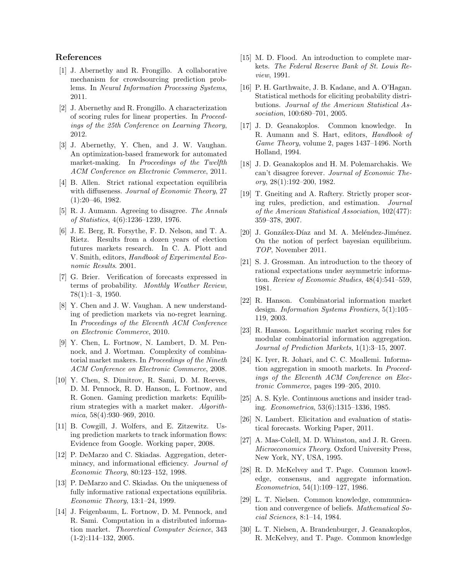### References

- [1] J. Abernethy and R. Frongillo. A collaborative mechanism for crowdsourcing prediction problems. In Neural Information Processing Systems, 2011.
- [2] J. Abernethy and R. Frongillo. A characterization of scoring rules for linear properties. In Proceedings of the 25th Conference on Learning Theory, 2012.
- [3] J. Abernethy, Y. Chen, and J. W. Vaughan. An optimization-based framework for automated market-making. In Proceedings of the Twelfth ACM Conference on Electronic Commerce, 2011.
- [4] B. Allen. Strict rational expectation equilibria with diffuseness. Journal of Economic Theory, 27 (1):20–46, 1982.
- [5] R. J. Aumann. Agreeing to disagree. The Annals of Statistics, 4(6):1236–1239, 1976.
- [6] J. E. Berg, R. Forsythe, F. D. Nelson, and T. A. Rietz. Results from a dozen years of election futures markets research. In C. A. Plott and V. Smith, editors, Handbook of Experimental Economic Results. 2001.
- [7] G. Brier. Verification of forecasts expressed in terms of probability. Monthly Weather Review, 78(1):1–3, 1950.
- [8] Y. Chen and J. W. Vaughan. A new understanding of prediction markets via no-regret learning. In Proceedings of the Eleventh ACM Conference on Electronic Commerce, 2010.
- [9] Y. Chen, L. Fortnow, N. Lambert, D. M. Pennock, and J. Wortman. Complexity of combinatorial market makers. In Proceedings of the Nineth ACM Conference on Electronic Commerce, 2008.
- [10] Y. Chen, S. Dimitrov, R. Sami, D. M. Reeves, D. M. Pennock, R. D. Hanson, L. Fortnow, and R. Gonen. Gaming prediction markets: Equilibrium strategies with a market maker. Algorithmica, 58(4):930–969, 2010.
- [11] B. Cowgill, J. Wolfers, and E. Zitzewitz. Using prediction markets to track information flows: Evidence from Google. Working paper, 2008.
- [12] P. DeMarzo and C. Skiadas. Aggregation, determinacy, and informational efficiency. Journal of Economic Theory, 80:123–152, 1998.
- [13] P. DeMarzo and C. Skiadas. On the uniqueness of fully informative rational expectations equilibria. Economic Theory, 13:1–24, 1999.
- [14] J. Feigenbaum, L. Fortnow, D. M. Pennock, and R. Sami. Computation in a distributed information market. Theoretical Computer Science, 343  $(1-2):114-132, 2005.$
- [15] M. D. Flood. An introduction to complete markets. The Federal Reserve Bank of St. Louis Review, 1991.
- [16] P. H. Garthwaite, J. B. Kadane, and A. O'Hagan. Statistical methods for eliciting probability distributions. Journal of the American Statistical Association, 100:680–701, 2005.
- [17] J. D. Geanakoplos. Common knowledge. In R. Aumann and S. Hart, editors, Handbook of Game Theory, volume 2, pages 1437–1496. North Holland, 1994.
- [18] J. D. Geanakoplos and H. M. Polemarchakis. We can't disagree forever. Journal of Economic Theory, 28(1):192–200, 1982.
- [19] T. Gneiting and A. Raftery. Strictly proper scoring rules, prediction, and estimation. Journal of the American Statistical Association, 102(477): 359–378, 2007.
- [20] J. Gonzálex-Díaz and M. A. Meléndez-Jiménez. On the notion of perfect bayesian equilibrium. TOP, November 2011.
- [21] S. J. Grossman. An introduction to the theory of rational expectations under asymmetric information. Review of Economic Studies, 48(4):541–559, 1981.
- [22] R. Hanson. Combinatorial information market design. Information Systems Frontiers, 5(1):105– 119, 2003.
- [23] R. Hanson. Logarithmic market scoring rules for modular combinatorial information aggregation. Journal of Prediction Markets, 1(1):3–15, 2007.
- [24] K. Iyer, R. Johari, and C. C. Moallemi. Information aggregation in smooth markets. In Proceedings of the Eleventh ACM Conference on Electronic Commerce, pages 199–205, 2010.
- [25] A. S. Kyle. Continuous auctions and insider trading. Econometrica, 53(6):1315–1336, 1985.
- [26] N. Lambert. Elicitation and evaluation of statistical forecasts. Working Paper, 2011.
- [27] A. Mas-Colell, M. D. Whinston, and J. R. Green. Microeconomics Theory. Oxford University Press, New York, NY, USA, 1995.
- [28] R. D. McKelvey and T. Page. Common knowledge, consensus, and aggregate information. Econometrica, 54(1):109–127, 1986.
- [29] L. T. Nielsen. Common knowledge, communication and convergence of beliefs. Mathematical Social Sciences, 8:1–14, 1984.
- [30] L. T. Nielsen, A. Brandenburger, J. Geanakoplos, R. McKelvey, and T. Page. Common knowledge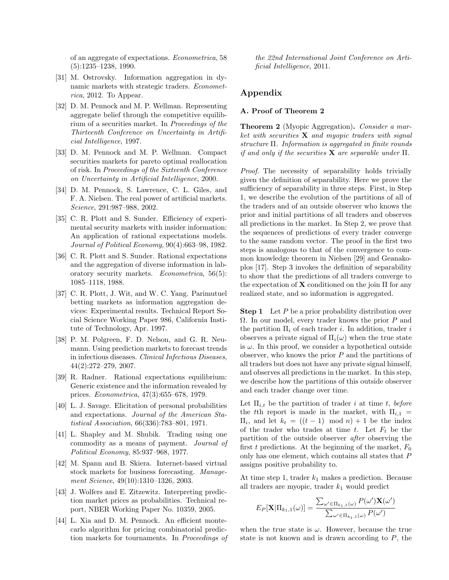of an aggregate of expectations. Econometrica, 58 (5):1235–1238, 1990.

- [31] M. Ostrovsky. Information aggregation in dynamic markets with strategic traders. *Economet*rica, 2012. To Appear.
- [32] D. M. Pennock and M. P. Wellman. Representing aggregate belief through the competitive equilibrium of a securities market. In Proceedings of the Thirteenth Conference on Uncertainty in Artificial Intelligence, 1997.
- [33] D. M. Pennock and M. P. Wellman. Compact securities markets for pareto optimal reallocation of risk. In Proceedings of the Sixteenth Conference on Uncertainty in Artificial Intelligence, 2000.
- [34] D. M. Pennock, S. Lawrence, C. L. Giles, and F. A. Nielsen. The real power of artificial markets. Science, 291:987–988, 2002.
- [35] C. R. Plott and S. Sunder. Efficiency of experimental security markets with insider information: An application of rational expectations models. Journal of Political Economy, 90(4):663–98, 1982.
- [36] C. R. Plott and S. Sunder. Rational expectations and the aggregation of diverse information in laboratory security markets. Econometrica, 56(5): 1085–1118, 1988.
- [37] C. R. Plott, J. Wit, and W. C. Yang. Parimutuel betting markets as information aggregation devices: Experimental results. Technical Report Social Science Working Paper 986, California Institute of Technology, Apr. 1997.
- [38] P. M. Polgreen, F. D. Nelson, and G. R. Neumann. Using prediction markets to forecast trends in infectious diseases. Clinical Infectious Diseases, 44(2):272–279, 2007.
- [39] R. Radner. Rational expectations equilibrium: Generic existence and the information revealed by prices. Econometrica, 47(3):655–678, 1979.
- [40] L. J. Savage. Elicitation of personal probabilities and expectations. Journal of the American Statistical Association, 66(336):783–801, 1971.
- [41] L. Shapley and M. Shubik. Trading using one commodity as a means of payment. Journal of Political Economy, 85:937–968, 1977.
- [42] M. Spann and B. Skiera. Internet-based virtual stock markets for business forecasting. Management Science, 49(10):1310–1326, 2003.
- [43] J. Wolfers and E. Zitzewitz. Interpreting prediction market prices as probabilities. Technical report, NBER Working Paper No. 10359, 2005.
- [44] L. Xia and D. M. Pennock. An efficient montecarlo algorithm for pricing combinatorial prediction markets for tournaments. In Proceedings of

the 22nd International Joint Conference on Artificial Intelligence, 2011.

## Appendix

### A. Proof of Theorem 2

**Theorem 2** (Myopic Aggregation). Consider a market with securities  $X$  and myopic traders with signal structure Π. Information is aggregated in finite rounds if and only if the securities **X** are separable under  $\Pi$ .

Proof. The necessity of separability holds trivially given the definition of separability. Here we prove the sufficiency of separability in three steps. First, in Step 1, we describe the evolution of the partitions of all of the traders and of an outside observer who knows the prior and initial partitions of all traders and observes all predictions in the market. In Step 2, we prove that the sequences of predictions of every trader converge to the same random vector. The proof in the first two steps is analogous to that of the convergence to common knowledge theorem in Nielsen [29] and Geanakoplos [17]. Step 3 invokes the definition of separability to show that the predictions of all traders converge to the expectation of  $X$  conditioned on the join  $\Pi$  for any realized state, and so information is aggregated.

**Step 1** Let  $P$  be a prior probability distribution over  $\Omega$ . In our model, every trader knows the prior P and the partition  $\Pi_i$  of each trader *i*. In addition, trader *i* observes a private signal of  $\Pi_i(\omega)$  when the true state is  $\omega$ . In this proof, we consider a hypothetical outside observer, who knows the prior  $P$  and the partitions of all traders but does not have any private signal himself, and observes all predictions in the market. In this step, we describe how the partitions of this outside observer and each trader change over time.

Let  $\Pi_{i,t}$  be the partition of trader i at time t, before the tth report is made in the market, with  $\Pi_{i,1}$  =  $\Pi_i$ , and let  $k_t = ((t-1) \mod n) + 1$  be the index of the trader who trades at time t. Let  $F_t$  be the partition of the outside observer after observing the first t predictions. At the beginning of the market,  $F_0$ only has one element, which contains all states that P assigns positive probability to.

At time step 1, trader  $k_1$  makes a prediction. Because all traders are myopic, trader  $k_1$  would predict

$$
E_P[\mathbf{X}|\Pi_{k_1,1}(\omega)] = \frac{\sum_{\omega' \in \Pi_{k_1,1}(\omega)} P(\omega')\mathbf{X}(\omega')}{\sum_{\omega' \in \Pi_{k_1,1}(\omega)} P(\omega')}
$$

when the true state is  $\omega$ . However, because the true state is not known and is drawn according to  $P$ , the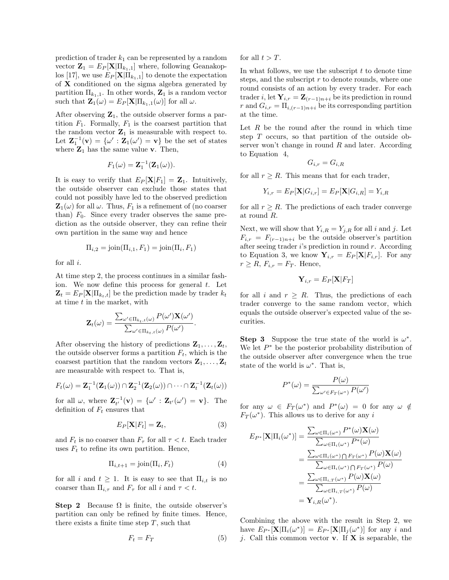prediction of trader  $k_1$  can be represented by a random vector  $\mathbf{Z}_1 = E_P[\mathbf{X} | \Pi_{k_1,1}]$  where, following Geanakoplos [17], we use  $E_P[\mathbf{X} | \Pi_{k_1,1}]$  to denote the expectation of X conditioned on the sigma algebra generated by partition  $\Pi_{k_1,1}$ . In other words,  $\mathbf{Z}_1$  is a random vector such that  $\mathbf{Z}_1(\omega) = E_P[\mathbf{X} | \Pi_{k_1,1}(\omega)]$  for all  $\omega$ .

After observing  $\mathbf{Z}_1$ , the outside observer forms a partition  $F_1$ . Formally,  $F_1$  is the coarsest partition that the random vector  $\mathbf{Z}_1$  is measurable with respect to. Let  $\mathbf{Z}_1^{-1}(\mathbf{v}) = {\omega' : \mathbf{Z}_1(\omega') = \mathbf{v}}$  be the set of states where  $\mathbf{Z}_1$  has the same value v. Then,

$$
F_1(\omega) = \mathbf{Z}_1^{-1}(\mathbf{Z}_1(\omega)).
$$

It is easy to verify that  $E_P[\mathbf{X}|F_1] = \mathbf{Z}_1$ . Intuitively, the outside observer can exclude those states that could not possibly have led to the observed prediction  $\mathbf{Z}_1(\omega)$  for all  $\omega$ . Thus,  $F_1$  is a refinement of (no coarser than)  $F_0$ . Since every trader observes the same prediction as the outside observer, they can refine their own partition in the same way and hence

$$
\Pi_{i,2} = \text{join}(\Pi_{i,1}, F_1) = \text{join}(\Pi_i, F_1)
$$

for all i.

At time step 2, the process continues in a similar fashion. We now define this process for general  $t$ . Let  $\mathbf{Z}_t = E_P[\mathbf{X} | \Pi_{k_t,t}]$  be the prediction made by trader  $k_t$ at time  $t$  in the market, with

$$
\mathbf{Z}_{t}(\omega) = \frac{\sum_{\omega' \in \Pi_{k_t, t}(\omega)} P(\omega') \mathbf{X}(\omega')}{\sum_{\omega' \in \Pi_{k_t, t}(\omega)} P(\omega')}.
$$

After observing the history of predictions  $\mathbf{Z}_1, \ldots, \mathbf{Z}_t$ , the outside observer forms a partition  $F_t$ , which is the coarsest partition that the random vectors  $\mathbf{Z}_1, \ldots, \mathbf{Z}_t$ are measurable with respect to. That is,

$$
F_t(\omega) = \mathbf{Z}_1^{-1}(\mathbf{Z}_1(\omega)) \cap \mathbf{Z}_2^{-1}(\mathbf{Z}_2(\omega)) \cap \cdots \cap \mathbf{Z}_t^{-1}(\mathbf{Z}_t(\omega))
$$

for all  $\omega$ , where  $\mathbf{Z}_{t'}^{-1}(\mathbf{v}) = {\omega' : \mathbf{Z}_{t'}(\omega') = \mathbf{v}}$ . The definition of  $F_t$  ensures that

$$
E_P[\mathbf{X}|F_t] = \mathbf{Z}_t,\tag{3}
$$

and  $F_t$  is no coarser than  $F_{\tau}$  for all  $\tau < t$ . Each trader uses  $F_t$  to refine its own partition. Hence,

$$
\Pi_{i,t+1} = \text{join}(\Pi_i, F_t) \tag{4}
$$

for all i and  $t \geq 1$ . It is easy to see that  $\Pi_{i,t}$  is no coarser than  $\Pi_{i,\tau}$  and  $F_{\tau}$  for all i and  $\tau < t$ .

Step 2 Because  $\Omega$  is finite, the outside observer's partition can only be refined by finite times. Hence, there exists a finite time step  $T$ , such that

$$
F_t = F_T \tag{5}
$$

for all  $t > T$ .

In what follows, we use the subscript  $t$  to denote time steps, and the subscript  $r$  to denote rounds, where one round consists of an action by every trader. For each trader i, let  $Y_{i,r} = Z_{(r-1)n+i}$  be its prediction in round r and  $G_{i,r} = \prod_{i,(r-1)n+i}$  be its corresponding partition at the time.

Let  $R$  be the round after the round in which time step T occurs, so that partition of the outside observer won't change in round  $R$  and later. According to Equation 4,

$$
G_{i,r} = G_{i,R}
$$

for all  $r \geq R$ . This means that for each trader,

$$
Y_{i,r} = E_P[\mathbf{X}|G_{i,r}] = E_P[\mathbf{X}|G_{i,R}] = Y_{i,R}
$$

for all  $r > R$ . The predictions of each trader converge at round R.

Next, we will show that  $Y_{i,R} = Y_{j,R}$  for all i and j. Let  $F_{i,r} = F_{(r-1)n+i}$  be the outside observer's partition after seeing trader  $i$ 's prediction in round  $r$ . According to Equation 3, we know  $\mathbf{Y}_{i,r} = E_P[\mathbf{X}|F_{i,r}]$ . For any  $r \geq R$ ,  $F_{i,r} = F_T$ . Hence,

$$
\mathbf{Y}_{i,r} = E_P[\mathbf{X}|F_T]
$$

for all i and  $r \geq R$ . Thus, the predictions of each trader converge to the same random vector, which equals the outside observer's expected value of the securities.

Step 3 Suppose the true state of the world is  $\omega^*$ . We let  $P^*$  be the posterior probability distribution of the outside observer after convergence when the true state of the world is  $\omega^*$ . That is,

$$
P^*(\omega) = \frac{P(\omega)}{\sum_{\omega' \in F_T(\omega^*)} P(\omega')}
$$

for any  $\omega \in F_T(\omega^*)$  and  $P^*(\omega) = 0$  for any  $\omega \notin$  $F_T(\omega^*)$ . This allows us to derive for any i

$$
E_{P^*}[\mathbf{X}|\Pi_i(\omega^*)] = \frac{\sum_{\omega \in \Pi_i(\omega^*)} P^*(\omega) \mathbf{X}(\omega)}{\sum_{\omega \in \Pi_i(\omega^*)} P^*(\omega)}
$$
  
= 
$$
\frac{\sum_{\omega \in \Pi_i(\omega^*) \cap F_T(\omega^*)} P(\omega) \mathbf{X}(\omega)}{\sum_{\omega \in \Pi_i(\omega^*) \cap F_T(\omega^*)} P(\omega)}
$$
  
= 
$$
\frac{\sum_{\omega \in \Pi_{i,T}(\omega^*)} P(\omega) \mathbf{X}(\omega)}{\sum_{\omega \in \Pi_{i,T}(\omega^*)} P(\omega)}
$$
  
= 
$$
\mathbf{Y}_{i,R}(\omega^*).
$$

Combining the above with the result in Step 2, we have  $E_{P^*}[\mathbf{X}|\Pi_i(\omega^*)] = E_{P^*}[\mathbf{X}|\Pi_j(\omega^*)]$  for any i and j. Call this common vector **v**. If  $X$  is separable, the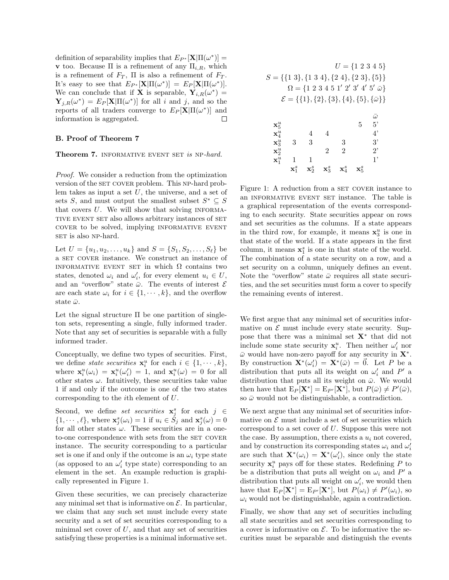definition of separability implies that  $E_{P^*}[\mathbf{X} | \Pi(\omega^*)] =$ **v** too. Because  $\Pi$  is a refinement of any  $\Pi_{i,R}$ , which is a refinement of  $F_T$ ,  $\Pi$  is also a refinement of  $F_T$ . It's easy to see that  $E_{P^*}[\mathbf{X}|\Pi(\omega^*)] = E_P[\mathbf{X}|\Pi(\omega^*)].$ We can conclude that if **X** is separable,  $Y_{i,R}(\omega^*)$  =  $\mathbf{Y}_{j,R}(\omega^*) = E_P[\mathbf{X}|\Pi(\omega^*)]$  for all i and j, and so the reports of all traders converge to  $E_P[\mathbf{X}|\Pi(\omega^*)]$  and information is aggregated.  $\Box$ 

#### B. Proof of Theorem 7

Theorem 7. INFORMATIVE EVENT SET is NP-hard.

Proof. We consider a reduction from the optimization version of the SET COVER problem. This NP-hard problem takes as input a set  $U$ , the universe, and a set of sets S, and must output the smallest subset  $S^* \subseteq S$ that covers  $U$ . We will show that solving INFORMAtive event set also allows arbitrary instances of set cover to be solved, implying informative event SET is also NP-hard.

Let  $U = \{u_1, u_2, \dots, u_k\}$  and  $S = \{S_1, S_2, \dots, S_\ell\}$  be a SET COVER instance. We construct an instance of INFORMATIVE EVENT SET in which  $\Omega$  contains two states, denoted  $\omega_i$  and  $\omega'_i$ , for every element  $u_i \in U$ , and an "overflow" state  $\bar{\omega}$ . The events of interest  $\mathcal E$ are each state  $\omega_i$  for  $i \in \{1, \dots, k\}$ , and the overflow state  $\bar{\omega}$ .

Let the signal structure  $\Pi$  be one partition of singleton sets, representing a single, fully informed trader. Note that any set of securities is separable with a fully informed trader.

Conceptually, we define two types of securities. First, we define *state securities*  $\mathbf{x}_i^u$  for each  $i \in \{1, \dots, k\},\$ where  $\mathbf{x}_i^u(\omega_i) = \mathbf{x}_i^u(\omega_i') = 1$ , and  $\mathbf{x}_i^u(\omega) = 0$  for all other states  $\omega$ . Intuitively, these securities take value 1 if and only if the outcome is one of the two states corresponding to the ith element of U.

Second, we define set securities  $\mathbf{x}_j^s$  for each  $j \in$  $\{1, \dots, \ell\}$ , where  $\mathbf{x}_j^s(\omega_i) = 1$  if  $u_i \in \check{S}_j$  and  $\mathbf{x}_j^s(\omega) = 0$ for all other states  $\omega$ . These securities are in a oneto-one correspondence with sets from the SET COVER instance. The security corresponding to a particular set is one if and only if the outcome is an  $\omega_i$  type state (as opposed to an  $\omega'_i$  type state) corresponding to an element in the set. An example reduction is graphically represented in Figure 1.

Given these securities, we can precisely characterize any minimal set that is informative on  $\mathcal{E}$ . In particular, we claim that any such set must include every state security and a set of set securities corresponding to a minimal set cover of  $U$ , and that any set of securities satisfying these properties is a minimal informative set.

| $U = \{1\; 2\; 3\; 4\; 5\}$<br>$S = \{\{1\ 3\}, \{1\ 3\ 4\}, \{2\ 4\}, \{2\ 3\}, \{5\}\}\$<br>$\Omega = \{1\ 2\ 3\ 4\ 5\ 1'\ 2'\ 3'\ 4'\ 5'\ \bar{\omega}\}\$<br>$\mathcal{E} = \{\{1\}, \{2\}, \{3\}, \{4\}, \{5\}, \{\bar{\omega}\}\}\$ |                  |                  |                  |                |   |                      |  |  |
|-------------------------------------------------------------------------------------------------------------------------------------------------------------------------------------------------------------------------------------------|------------------|------------------|------------------|----------------|---|----------------------|--|--|
|                                                                                                                                                                                                                                           |                  |                  |                  |                |   | $\bar{\omega}$<br>5' |  |  |
| $\mathbf{x}_5^u$<br>$\mathbf{x}_4^u$                                                                                                                                                                                                      |                  | 4                | 4                |                | 5 | $4^{\circ}$          |  |  |
| $\mathbf{x}_3^u$                                                                                                                                                                                                                          | 3                | 3                |                  | 3              |   | 3'                   |  |  |
| $\mathbf{x}_2^u$                                                                                                                                                                                                                          |                  |                  | $\overline{2}$   | $\overline{2}$ |   | $2^{\circ}$          |  |  |
| $\mathbf{x}_1^u$                                                                                                                                                                                                                          | 1                | 1                |                  |                |   | 1,                   |  |  |
|                                                                                                                                                                                                                                           | $\mathbf{X}^S_1$ | $\mathbf{x}_2^s$ | $\mathbf{X}_3^S$ |                |   |                      |  |  |

Figure 1: A reduction from a SET COVER instance to an informative event set instance. The table is a graphical representation of the events corresponding to each security. State securities appear on rows and set securities as the columns. If a state appears in the third row, for example, it means  $x_3^u$  is one in that state of the world. If a state appears in the first column, it means  $\mathbf{x}_1^s$  is one in that state of the world. The combination of a state security on a row, and a set security on a column, uniquely defines an event. Note the "overflow" state  $\bar{\omega}$  requires all state securities, and the set securities must form a cover to specify the remaining events of interest.

We first argue that any minimal set of securities informative on  $\mathcal E$  must include every state security. Suppose that there was a minimal set  $X^*$  that did not include some state security  $\mathbf{x}_i^u$ . Then neither  $\omega_i'$  nor  $\bar{\omega}$  would have non-zero payoff for any security in  $\mathbf{X}^*$ . By construction  $\mathbf{X}^*(\omega_i') = \mathbf{X}^*(\bar{\omega}) = \vec{0}$ . Let P be a distribution that puts all its weight on  $\omega_i'$  and  $P'$  a distribution that puts all its weight on  $\bar{\omega}$ . We would then have that  $E_P[\mathbf{X}^*] = E_{P'}[\mathbf{X}^*]$ , but  $P(\bar{\omega}) \neq P'(\bar{\omega})$ , so  $\bar{\omega}$  would not be distinguishable, a contradiction.

We next argue that any minimal set of securities informative on  $\mathcal E$  must include a set of set securities which correspond to a set cover of U. Suppose this were not the case. By assumption, there exists a  $u_i$  not covered, and by construction its corresponding states  $\omega_i$  and  $\omega'_i$ are such that  $\mathbf{X}^*(\omega_i) = \mathbf{X}^*(\omega_i')$ , since only the state security  $\mathbf{x}_i^u$  pays off for these states. Redefining P to be a distribution that puts all weight on  $\omega_i$  and  $P'$  a distribution that puts all weight on  $\omega'_i$ , we would then have that  $E_P[\mathbf{X}^*] = E_{P'}[\mathbf{X}^*]$ , but  $P(\omega_i) \neq P'(\omega_i)$ , so  $\omega_i$  would not be distinguishable, again a contradiction.

Finally, we show that any set of securities including all state securities and set securities corresponding to a cover is informative on  $\mathcal{E}$ . To be informative the securities must be separable and distinguish the events